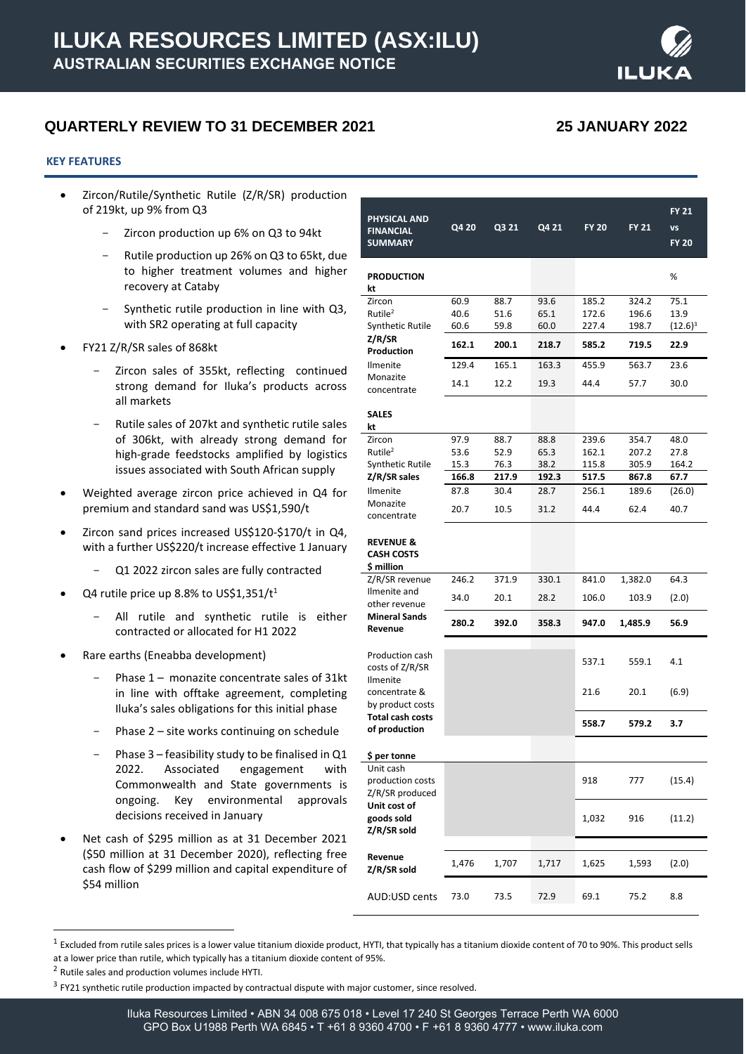

# **QUARTERLY REVIEW TO 31 DECEMBER 2021 25 JANUARY 2022**

#### **KEY FEATURES**

- Zircon/Rutile/Synthetic Rutile (Z/R/SR) production of 219kt, up 9% from Q3
	- Zircon production up 6% on Q3 to 94kt
	- Rutile production up 26% on Q3 to 65kt, due to higher treatment volumes and higher recovery at Cataby
	- Synthetic rutile production in line with Q3, with SR2 operating at full capacity
- FY21 Z/R/SR sales of 868kt
	- Zircon sales of 355kt, reflecting continued strong demand for Iluka's products across all markets
	- Rutile sales of 207kt and synthetic rutile sales of 306kt, with already strong demand for high-grade feedstocks amplified by logistics issues associated with South African supply
- Weighted average zircon price achieved in Q4 for premium and standard sand was US\$1,590/t
- Zircon sand prices increased US\$120-\$170/t in Q4, with a further US\$220/t increase effective 1 January
	- Q1 2022 zircon sales are fully contracted
- Q4 rutile price up 8.8% to US\$1,351/ $t^1$ 
	- All rutile and synthetic rutile is either contracted or allocated for H1 2022
- Rare earths (Eneabba development)
	- Phase  $1-$  monazite concentrate sales of 31kt in line with offtake agreement, completing Iluka's sales obligations for this initial phase
	- Phase  $2$  site works continuing on schedule
	- Phase  $3$  feasibility study to be finalised in  $Q1$ 2022. Associated engagement with Commonwealth and State governments is ongoing. Key environmental approvals decisions received in January
- Net cash of \$295 million as at 31 December 2021 (\$50 million at 31 December 2020), reflecting free cash flow of \$299 million and capital expenditure of \$54 million

|                                           |       |       |       |       |              | <b>FY 21</b> |
|-------------------------------------------|-------|-------|-------|-------|--------------|--------------|
| PHYSICAL AND                              | Q4 20 | Q3 21 | Q4 21 | FY 20 | <b>FY 21</b> | <b>VS</b>    |
| <b>FINANCIAL</b><br><b>SUMMARY</b>        |       |       |       |       |              | <b>FY 20</b> |
|                                           |       |       |       |       |              |              |
| <b>PRODUCTION</b>                         |       |       |       |       |              | %            |
| kt                                        |       |       |       |       |              |              |
| Zircon                                    | 60.9  | 88.7  | 93.6  | 185.2 | 324.2        | 75.1         |
| Rutile <sup>2</sup>                       | 40.6  | 51.6  | 65.1  | 172.6 | 196.6        | 13.9         |
| Synthetic Rutile<br>Z/R/SR                | 60.6  | 59.8  | 60.0  | 227.4 | 198.7        | $(12.6)^3$   |
| Production                                | 162.1 | 200.1 | 218.7 | 585.2 | 719.5        | 22.9         |
| <b>Ilmenite</b>                           | 129.4 | 165.1 | 163.3 | 455.9 | 563.7        | 23.6         |
| Monazite                                  | 14.1  | 12.2  | 19.3  | 44.4  | 57.7         | 30.0         |
| concentrate                               |       |       |       |       |              |              |
| <b>SALES</b><br>kt                        |       |       |       |       |              |              |
| Zircon                                    | 97.9  | 88.7  | 88.8  | 239.6 | 354.7        | 48.0         |
| Rutile <sup>2</sup>                       | 53.6  | 52.9  | 65.3  | 162.1 | 207.2        | 27.8         |
| Synthetic Rutile                          | 15.3  | 76.3  | 38.2  | 115.8 | 305.9        | 164.2        |
| Z/R/SR sales                              | 166.8 | 217.9 | 192.3 | 517.5 | 867.8        | 67.7         |
| <b>Ilmenite</b><br>Monazite               | 87.8  | 30.4  | 28.7  | 256.1 | 189.6        | (26.0)       |
| concentrate                               | 20.7  | 10.5  | 31.2  | 44.4  | 62.4         | 40.7         |
|                                           |       |       |       |       |              |              |
| <b>REVENUE &amp;</b><br><b>CASH COSTS</b> |       |       |       |       |              |              |
| \$ million                                |       |       |       |       |              |              |
| Z/R/SR revenue                            | 246.2 | 371.9 | 330.1 | 841.0 | 1,382.0      | 64.3         |
| Ilmenite and<br>other revenue             | 34.0  | 20.1  | 28.2  | 106.0 | 103.9        | (2.0)        |
| <b>Mineral Sands</b>                      | 280.2 | 392.0 | 358.3 |       |              | 56.9         |
| Revenue                                   |       |       |       | 947.0 | 1,485.9      |              |
| Production cash                           |       |       |       |       |              |              |
| costs of Z/R/SR                           |       |       |       | 537.1 | 559.1        | 4.1          |
| <b>Ilmenite</b>                           |       |       |       |       |              |              |
| concentrate &<br>by product costs         |       |       |       | 21.6  | 20.1         | (6.9)        |
| <b>Total cash costs</b>                   |       |       |       | 558.7 | 579.2        | 3.7          |
| of production                             |       |       |       |       |              |              |
| \$ per tonne                              |       |       |       |       |              |              |
| Unit cash                                 |       |       |       |       |              |              |
| production costs                          |       |       |       | 918   | 777          | (15.4)       |
| Z/R/SR produced<br>Unit cost of           |       |       |       |       |              |              |
| goods sold                                |       |       |       | 1,032 | 916          | (11.2)       |
| Z/R/SR sold                               |       |       |       |       |              |              |
|                                           |       |       |       |       |              |              |
| Revenue<br>Z/R/SR sold                    | 1,476 | 1,707 | 1,717 | 1,625 | 1,593        | (2.0)        |
|                                           |       |       |       |       |              |              |
| AUD:USD cents                             | 73.0  | 73.5  | 72.9  | 69.1  | 75.2         | 8.8          |
|                                           |       |       |       |       |              |              |

 $^1$  Excluded from rutile sales prices is a lower value titanium dioxide product, HYTI, that typically has a titanium dioxide content of 70 to 90%. This product sells at a lower price than rutile, which typically has a titanium dioxide content of 95%.

<sup>&</sup>lt;sup>2</sup> Rutile sales and production volumes include HYTI.

 $3$  FY21 synthetic rutile production impacted by contractual dispute with major customer, since resolved.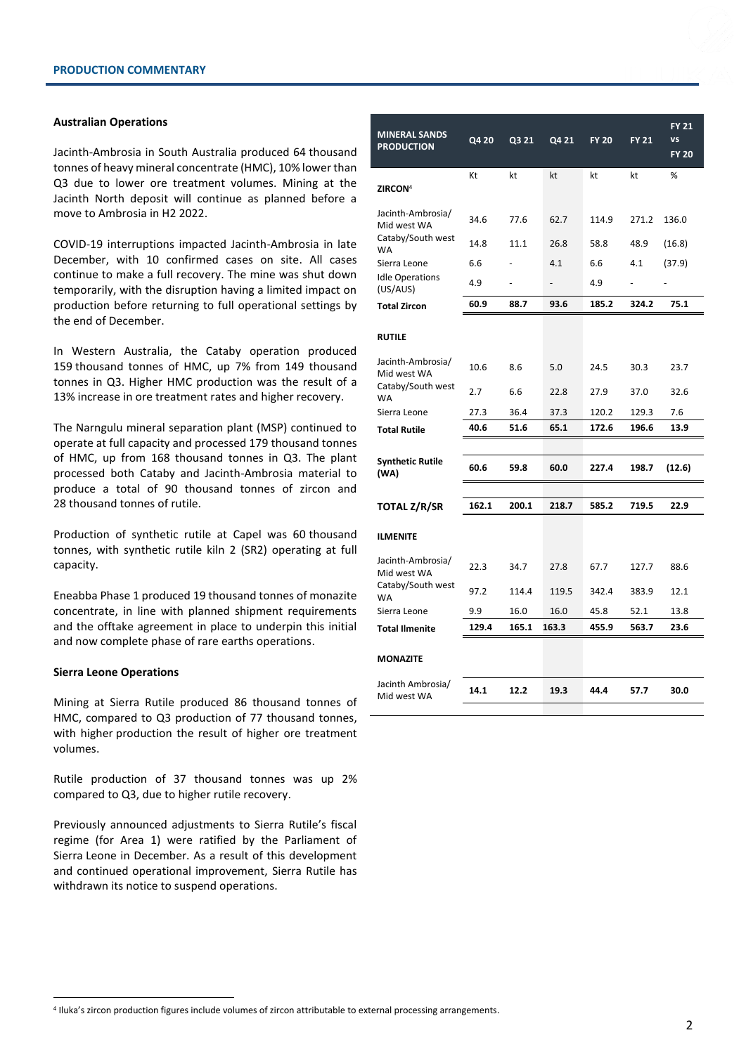### **Australian Operations**

Jacinth-Ambrosia in South Australia produced 64 thousand tonnes of heavy mineral concentrate (HMC), 10% lower than Q3 due to lower ore treatment volumes. Mining at the Jacinth North deposit will continue as planned before a move to Ambrosia in H2 2022.

COVID-19 interruptions impacted Jacinth-Ambrosia in late December, with 10 confirmed cases on site. All cases continue to make a full recovery. The mine was shut down temporarily, with the disruption having a limited impact on production before returning to full operational settings by the end of December.

In Western Australia, the Cataby operation produced 159 thousand tonnes of HMC, up 7% from 149 thousand tonnes in Q3. Higher HMC production was the result of a 13% increase in ore treatment rates and higher recovery.

The Narngulu mineral separation plant (MSP) continued to operate at full capacity and processed 179 thousand tonnes of HMC, up from 168 thousand tonnes in Q3. The plant processed both Cataby and Jacinth-Ambrosia material to produce a total of 90 thousand tonnes of zircon and 28 thousand tonnes of rutile.

Production of synthetic rutile at Capel was 60 thousand tonnes, with synthetic rutile kiln 2 (SR2) operating at full capacity.

Eneabba Phase 1 produced 19 thousand tonnes of monazite concentrate, in line with planned shipment requirements and the offtake agreement in place to underpin this initial and now complete phase of rare earths operations.

# **Sierra Leone Operations**

Mining at Sierra Rutile produced 86 thousand tonnes of HMC, compared to Q3 production of 77 thousand tonnes, with higher production the result of higher ore treatment volumes.

Rutile production of 37 thousand tonnes was up 2% compared to Q3, due to higher rutile recovery.

Previously announced adjustments to Sierra Rutile's fiscal regime (for Area 1) were ratified by the Parliament of Sierra Leone in December. As a result of this development and continued operational improvement, Sierra Rutile has withdrawn its notice to suspend operations.

| <b>MINERAL SANDS</b><br><b>PRODUCTION</b> | Q4 20 | Q3 21 | Q4 21 | <b>FY 20</b> | <b>FY 21</b> | <b>FY 21</b><br>VS<br><b>FY 20</b> |
|-------------------------------------------|-------|-------|-------|--------------|--------------|------------------------------------|
| <b>ZIRCON</b> <sup>4</sup>                | Kt    | kt    | kt    | kt           | kt           | %                                  |
| Jacinth-Ambrosia/<br>Mid west WA          | 34.6  | 77.6  | 62.7  | 114.9        | 271.2        | 136.0                              |
| Cataby/South west<br><b>WA</b>            | 14.8  | 11.1  | 26.8  | 58.8         | 48.9         | (16.8)                             |
| Sierra Leone                              | 6.6   |       | 4.1   | 6.6          | 4.1          | (37.9)                             |
| <b>Idle Operations</b><br>(US/AUS)        | 4.9   |       |       | 4.9          |              |                                    |
| <b>Total Zircon</b>                       | 60.9  | 88.7  | 93.6  | 185.2        | 324.2        | 75.1                               |
| <b>RUTILE</b>                             |       |       |       |              |              |                                    |
| Jacinth-Ambrosia/<br>Mid west WA          | 10.6  | 8.6   | 5.0   | 24.5         | 30.3         | 23.7                               |
| Cataby/South west<br><b>WA</b>            | 2.7   | 6.6   | 22.8  | 27.9         | 37.0         | 32.6                               |
| Sierra Leone                              | 27.3  | 36.4  | 37.3  | 120.2        | 129.3        | 7.6                                |
| <b>Total Rutile</b>                       | 40.6  | 51.6  | 65.1  | 172.6        | 196.6        | 13.9                               |
|                                           |       |       |       |              |              |                                    |
| <b>Synthetic Rutile</b><br>(WA)           | 60.6  | 59.8  | 60.0  | 227.4        | 198.7        | (12.6)                             |
|                                           |       |       |       |              |              |                                    |
| <b>TOTAL Z/R/SR</b>                       | 162.1 | 200.1 | 218.7 | 585.2        | 719.5        | 22.9                               |
| <b>ILMENITE</b>                           |       |       |       |              |              |                                    |
| Jacinth-Ambrosia/<br>Mid west WA          | 22.3  | 34.7  | 27.8  | 67.7         | 127.7        | 88.6                               |
| Cataby/South west<br><b>WA</b>            | 97.2  | 114.4 | 119.5 | 342.4        | 383.9        | 12.1                               |
| Sierra Leone                              | 9.9   | 16.0  | 16.0  | 45.8         | 52.1         | 13.8                               |
| <b>Total Ilmenite</b>                     | 129.4 | 165.1 | 163.3 | 455.9        | 563.7        | 23.6                               |
| <b>MONAZITE</b>                           |       |       |       |              |              |                                    |
| Jacinth Ambrosia/<br>Mid west WA          | 14.1  | 12.2  | 19.3  | 44.4         | 57.7         | 30.0                               |

4 Iluka's zircon production figures include volumes of zircon attributable to external processing arrangements.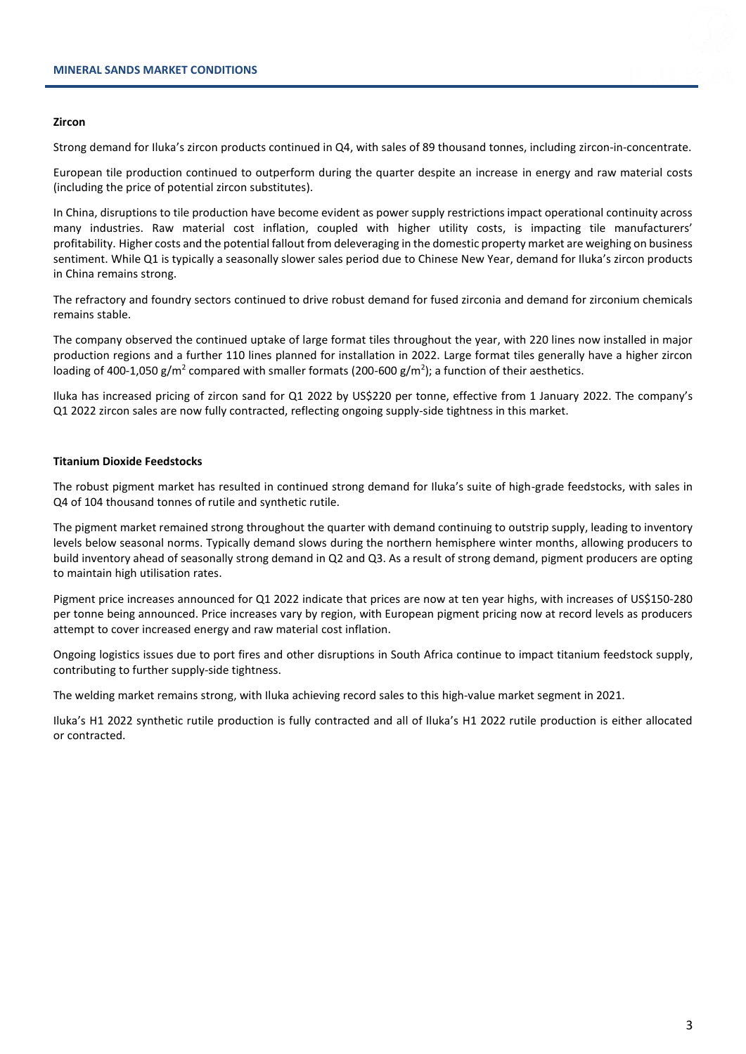#### **Zircon**

Strong demand for Iluka's zircon products continued in Q4, with sales of 89 thousand tonnes, including zircon-in-concentrate.

European tile production continued to outperform during the quarter despite an increase in energy and raw material costs (including the price of potential zircon substitutes).

In China, disruptions to tile production have become evident as power supply restrictions impact operational continuity across many industries. Raw material cost inflation, coupled with higher utility costs, is impacting tile manufacturers' profitability. Higher costs and the potential fallout from deleveraging in the domestic property market are weighing on business sentiment. While Q1 is typically a seasonally slower sales period due to Chinese New Year, demand for Iluka's zircon products in China remains strong.

The refractory and foundry sectors continued to drive robust demand for fused zirconia and demand for zirconium chemicals remains stable.

The company observed the continued uptake of large format tiles throughout the year, with 220 lines now installed in major production regions and a further 110 lines planned for installation in 2022. Large format tiles generally have a higher zircon loading of 400-1,050 g/m<sup>2</sup> compared with smaller formats (200-600 g/m<sup>2</sup>); a function of their aesthetics.

Iluka has increased pricing of zircon sand for Q1 2022 by US\$220 per tonne, effective from 1 January 2022. The company's Q1 2022 zircon sales are now fully contracted, reflecting ongoing supply-side tightness in this market.

# **Titanium Dioxide Feedstocks**

The robust pigment market has resulted in continued strong demand for Iluka's suite of high-grade feedstocks, with sales in Q4 of 104 thousand tonnes of rutile and synthetic rutile.

The pigment market remained strong throughout the quarter with demand continuing to outstrip supply, leading to inventory levels below seasonal norms. Typically demand slows during the northern hemisphere winter months, allowing producers to build inventory ahead of seasonally strong demand in Q2 and Q3. As a result of strong demand, pigment producers are opting to maintain high utilisation rates.

Pigment price increases announced for Q1 2022 indicate that prices are now at ten year highs, with increases of US\$150-280 per tonne being announced. Price increases vary by region, with European pigment pricing now at record levels as producers attempt to cover increased energy and raw material cost inflation.

Ongoing logistics issues due to port fires and other disruptions in South Africa continue to impact titanium feedstock supply, contributing to further supply-side tightness.

The welding market remains strong, with Iluka achieving record sales to this high-value market segment in 2021.

Iluka's H1 2022 synthetic rutile production is fully contracted and all of Iluka's H1 2022 rutile production is either allocated or contracted.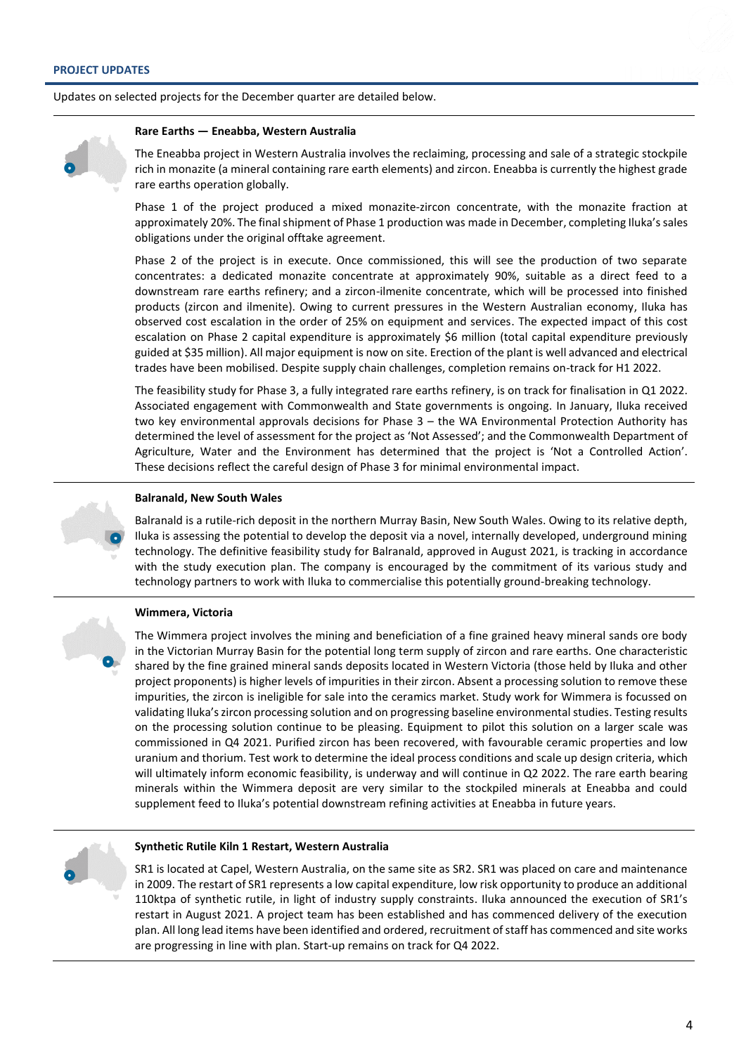Updates on selected projects for the December quarter are detailed below.

#### **Rare Earths — Eneabba, Western Australia**

The Eneabba project in Western Australia involves the reclaiming, processing and sale of a strategic stockpile rich in monazite (a mineral containing rare earth elements) and zircon. Eneabba is currently the highest grade rare earths operation globally.

Phase 1 of the project produced a mixed monazite-zircon concentrate, with the monazite fraction at approximately 20%. The final shipment of Phase 1 production was made in December, completing Iluka's sales obligations under the original offtake agreement.

Phase 2 of the project is in execute. Once commissioned, this will see the production of two separate concentrates: a dedicated monazite concentrate at approximately 90%, suitable as a direct feed to a downstream rare earths refinery; and a zircon-ilmenite concentrate, which will be processed into finished products (zircon and ilmenite). Owing to current pressures in the Western Australian economy, Iluka has observed cost escalation in the order of 25% on equipment and services. The expected impact of this cost escalation on Phase 2 capital expenditure is approximately \$6 million (total capital expenditure previously guided at \$35 million). All major equipment is now on site. Erection of the plant is well advanced and electrical trades have been mobilised. Despite supply chain challenges, completion remains on-track for H1 2022.

The feasibility study for Phase 3, a fully integrated rare earths refinery, is on track for finalisation in Q1 2022. Associated engagement with Commonwealth and State governments is ongoing. In January, Iluka received two key environmental approvals decisions for Phase 3 – the WA Environmental Protection Authority has determined the level of assessment for the project as 'Not Assessed'; and the Commonwealth Department of Agriculture, Water and the Environment has determined that the project is 'Not a Controlled Action'. These decisions reflect the careful design of Phase 3 for minimal environmental impact.



### **Balranald, New South Wales**

Balranald is a rutile-rich deposit in the northern Murray Basin, New South Wales. Owing to its relative depth, Iluka is assessing the potential to develop the deposit via a novel, internally developed, underground mining technology. The definitive feasibility study for Balranald, approved in August 2021, is tracking in accordance with the study execution plan. The company is encouraged by the commitment of its various study and technology partners to work with Iluka to commercialise this potentially ground-breaking technology.

# **Wimmera, Victoria**

The Wimmera project involves the mining and beneficiation of a fine grained heavy mineral sands ore body in the Victorian Murray Basin for the potential long term supply of zircon and rare earths. One characteristic shared by the fine grained mineral sands deposits located in Western Victoria (those held by Iluka and other project proponents) is higher levels of impurities in their zircon. Absent a processing solution to remove these impurities, the zircon is ineligible for sale into the ceramics market. Study work for Wimmera is focussed on validating Iluka's zircon processing solution and on progressing baseline environmental studies. Testing results on the processing solution continue to be pleasing. Equipment to pilot this solution on a larger scale was commissioned in Q4 2021. Purified zircon has been recovered, with favourable ceramic properties and low uranium and thorium. Test work to determine the ideal process conditions and scale up design criteria, which will ultimately inform economic feasibility, is underway and will continue in Q2 2022. The rare earth bearing minerals within the Wimmera deposit are very similar to the stockpiled minerals at Eneabba and could supplement feed to Iluka's potential downstream refining activities at Eneabba in future years.



#### **Synthetic Rutile Kiln 1 Restart, Western Australia**

SR1 is located at Capel, Western Australia, on the same site as SR2. SR1 was placed on care and maintenance in 2009. The restart of SR1 represents a low capital expenditure, low risk opportunity to produce an additional 110ktpa of synthetic rutile, in light of industry supply constraints. Iluka announced the execution of SR1's restart in August 2021. A project team has been established and has commenced delivery of the execution plan. All long lead items have been identified and ordered, recruitment of staff has commenced and site works are progressing in line with plan. Start-up remains on track for Q4 2022.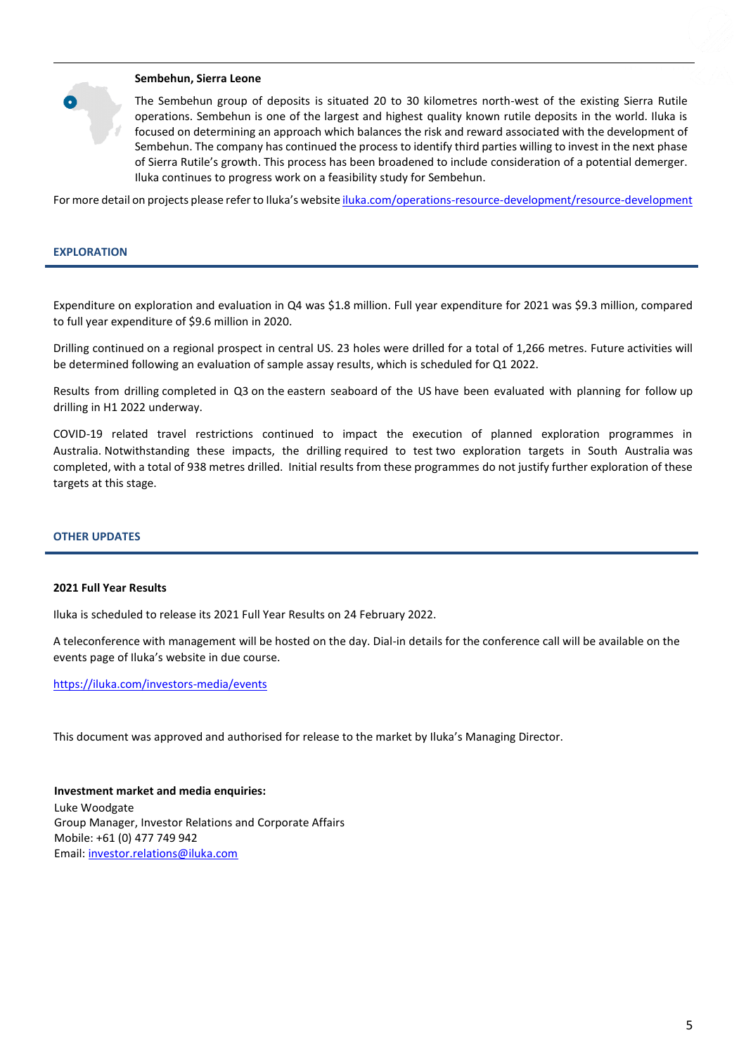# **Sembehun, Sierra Leone**

The Sembehun group of deposits is situated 20 to 30 kilometres north-west of the existing Sierra Rutile operations. Sembehun is one of the largest and highest quality known rutile deposits in the world. Iluka is focused on determining an approach which balances the risk and reward associated with the development of Sembehun. The company has continued the process to identify third parties willing to invest in the next phase of Sierra Rutile's growth. This process has been broadened to include consideration of a potential demerger. Iluka continues to progress work on a feasibility study for Sembehun.

For more detail on projects please referto Iluka's website [iluka.com/operations-resource-development/resource-development](http://www.iluka.com/operations-resource-development/resource-development)

#### **EXPLORATION**

Expenditure on exploration and evaluation in Q4 was \$1.8 million. Full year expenditure for 2021 was \$9.3 million, compared to full year expenditure of \$9.6 million in 2020.

Drilling continued on a regional prospect in central US. 23 holes were drilled for a total of 1,266 metres. Future activities will be determined following an evaluation of sample assay results, which is scheduled for Q1 2022.

Results from drilling completed in Q3 on the eastern seaboard of the US have been evaluated with planning for follow up drilling in H1 2022 underway.

COVID-19 related travel restrictions continued to impact the execution of planned exploration programmes in Australia. Notwithstanding these impacts, the drilling required to test two exploration targets in South Australia was completed, with a total of 938 metres drilled. Initial results from these programmes do not justify further exploration of these targets at this stage.

## **OTHER UPDATES**

#### **2021 Full Year Results**

Iluka is scheduled to release its 2021 Full Year Results on 24 February 2022.

A teleconference with management will be hosted on the day. Dial-in details for the conference call will be available on the events page of Iluka's website in due course.

<https://iluka.com/investors-media/events>

This document was approved and authorised for release to the market by Iluka's Managing Director.

**Investment market and media enquiries:** Luke Woodgate Group Manager, Investor Relations and Corporate Affairs Mobile: +61 (0) 477 749 942 Email[: investor.relations@iluka.com](mailto:investor.relations@iluka.com)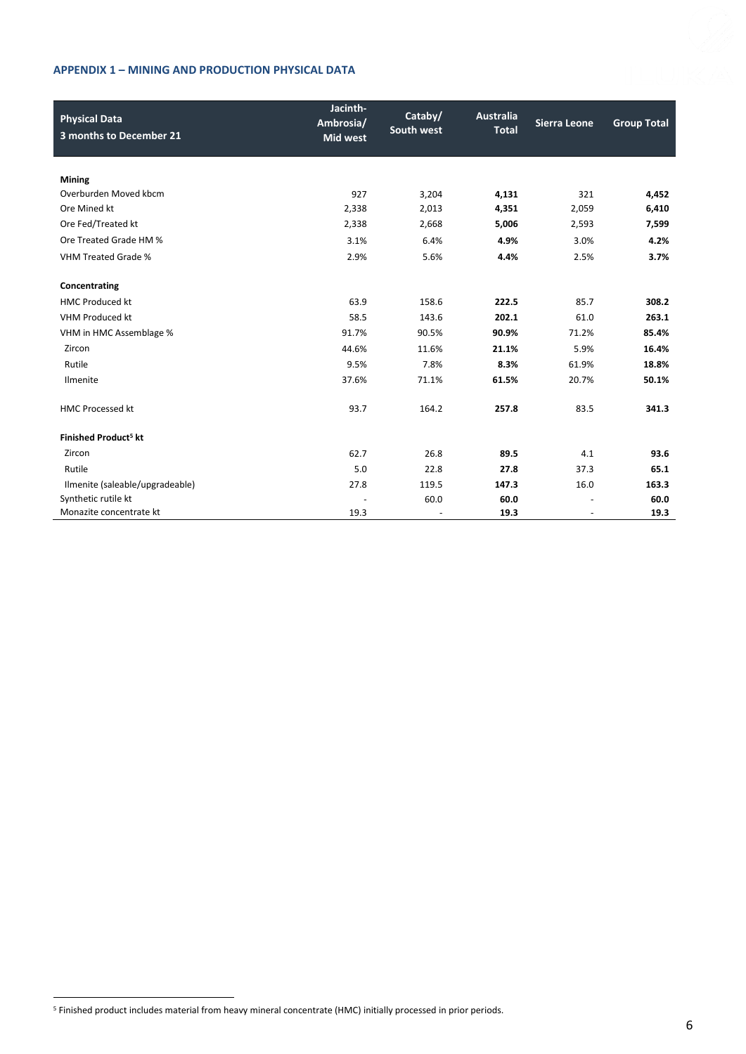# **APPENDIX 1 – MINING AND PRODUCTION PHYSICAL DATA**

| <b>Physical Data</b>             | Jacinth-<br>Ambrosia/ | Cataby/<br>South west    | <b>Australia</b><br><b>Total</b> | <b>Sierra Leone</b>      | <b>Group Total</b> |
|----------------------------------|-----------------------|--------------------------|----------------------------------|--------------------------|--------------------|
| 3 months to December 21          | <b>Mid west</b>       |                          |                                  |                          |                    |
|                                  |                       |                          |                                  |                          |                    |
| <b>Mining</b>                    |                       |                          |                                  |                          |                    |
| Overburden Moved kbcm            | 927                   | 3,204                    | 4,131                            | 321                      | 4,452              |
| Ore Mined kt                     | 2,338                 | 2,013                    | 4,351                            | 2,059                    | 6,410              |
| Ore Fed/Treated kt               | 2,338                 | 2,668                    | 5,006                            | 2,593                    | 7,599              |
| Ore Treated Grade HM %           | 3.1%                  | 6.4%                     | 4.9%                             | 3.0%                     | 4.2%               |
| <b>VHM Treated Grade %</b>       | 2.9%                  | 5.6%                     | 4.4%                             | 2.5%                     | 3.7%               |
| Concentrating                    |                       |                          |                                  |                          |                    |
| <b>HMC Produced kt</b>           | 63.9                  | 158.6                    | 222.5                            | 85.7                     | 308.2              |
| VHM Produced kt                  | 58.5                  | 143.6                    | 202.1                            | 61.0                     | 263.1              |
| VHM in HMC Assemblage %          | 91.7%                 | 90.5%                    | 90.9%                            | 71.2%                    | 85.4%              |
| Zircon                           | 44.6%                 | 11.6%                    | 21.1%                            | 5.9%                     | 16.4%              |
| Rutile                           | 9.5%                  | 7.8%                     | 8.3%                             | 61.9%                    | 18.8%              |
| Ilmenite                         | 37.6%                 | 71.1%                    | 61.5%                            | 20.7%                    | 50.1%              |
| <b>HMC Processed kt</b>          | 93.7                  | 164.2                    | 257.8                            | 83.5                     | 341.3              |
| Finished Product <sup>5</sup> kt |                       |                          |                                  |                          |                    |
| Zircon                           | 62.7                  | 26.8                     | 89.5                             | 4.1                      | 93.6               |
| Rutile                           | 5.0                   | 22.8                     | 27.8                             | 37.3                     | 65.1               |
| Ilmenite (saleable/upgradeable)  | 27.8                  | 119.5                    | 147.3                            | 16.0                     | 163.3              |
| Synthetic rutile kt              | $\overline{a}$        | 60.0                     | 60.0                             |                          | 60.0               |
| Monazite concentrate kt          | 19.3                  | $\overline{\phantom{a}}$ | 19.3                             | $\overline{\phantom{a}}$ | 19.3               |

<sup>5</sup> Finished product includes material from heavy mineral concentrate (HMC) initially processed in prior periods.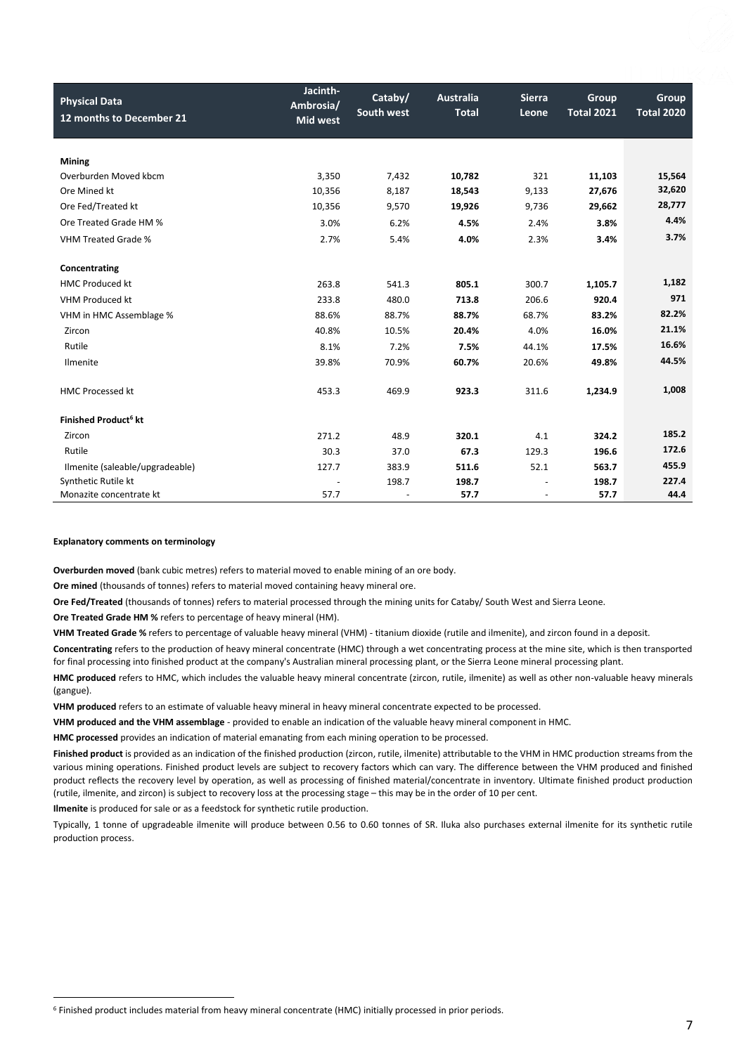| <b>Physical Data</b><br>12 months to December 21 | Jacinth-<br>Ambrosia/<br><b>Mid west</b> | Cataby/<br>South west | <b>Australia</b><br><b>Total</b> | <b>Sierra</b><br>Leone | Group<br><b>Total 2021</b> | Group<br><b>Total 2020</b> |
|--------------------------------------------------|------------------------------------------|-----------------------|----------------------------------|------------------------|----------------------------|----------------------------|
|                                                  |                                          |                       |                                  |                        |                            |                            |
| <b>Mining</b>                                    |                                          |                       |                                  |                        |                            |                            |
| Overburden Moved kbcm                            | 3,350                                    | 7,432                 | 10,782                           | 321                    | 11,103                     | 15,564                     |
| Ore Mined kt                                     | 10,356                                   | 8,187                 | 18,543                           | 9,133                  | 27,676                     | 32,620                     |
|                                                  |                                          |                       |                                  |                        |                            | 28,777                     |
| Ore Fed/Treated kt                               | 10,356                                   | 9,570                 | 19,926                           | 9,736                  | 29,662                     |                            |
| Ore Treated Grade HM %                           | 3.0%                                     | 6.2%                  | 4.5%                             | 2.4%                   | 3.8%                       | 4.4%                       |
| VHM Treated Grade %                              | 2.7%                                     | 5.4%                  | 4.0%                             | 2.3%                   | 3.4%                       | 3.7%                       |
|                                                  |                                          |                       |                                  |                        |                            |                            |
| Concentrating                                    |                                          |                       |                                  |                        |                            |                            |
| <b>HMC Produced kt</b>                           | 263.8                                    | 541.3                 | 805.1                            | 300.7                  | 1,105.7                    | 1,182                      |
| <b>VHM Produced kt</b>                           | 233.8                                    | 480.0                 | 713.8                            | 206.6                  | 920.4                      | 971                        |
| VHM in HMC Assemblage %                          | 88.6%                                    | 88.7%                 | 88.7%                            | 68.7%                  | 83.2%                      | 82.2%                      |
| Zircon                                           | 40.8%                                    | 10.5%                 | 20.4%                            | 4.0%                   | 16.0%                      | 21.1%                      |
| Rutile                                           | 8.1%                                     | 7.2%                  | 7.5%                             | 44.1%                  | 17.5%                      | 16.6%                      |
| Ilmenite                                         | 39.8%                                    | 70.9%                 | 60.7%                            | 20.6%                  | 49.8%                      | 44.5%                      |
|                                                  |                                          |                       |                                  |                        |                            |                            |
| <b>HMC Processed kt</b>                          | 453.3                                    | 469.9                 | 923.3                            | 311.6                  | 1,234.9                    | 1,008                      |
|                                                  |                                          |                       |                                  |                        |                            |                            |
| Finished Product <sup>6</sup> kt                 |                                          |                       |                                  |                        |                            |                            |
| Zircon                                           | 271.2                                    | 48.9                  | 320.1                            | 4.1                    | 324.2                      | 185.2                      |
| Rutile                                           | 30.3                                     | 37.0                  | 67.3                             | 129.3                  | 196.6                      | 172.6                      |
| Ilmenite (saleable/upgradeable)                  | 127.7                                    | 383.9                 | 511.6                            | 52.1                   | 563.7                      | 455.9                      |
| Synthetic Rutile kt                              |                                          | 198.7                 | 198.7                            |                        | 198.7                      | 227.4                      |
| Monazite concentrate kt                          | 57.7                                     |                       | 57.7                             |                        | 57.7                       | 44.4                       |

#### **Explanatory comments on terminology**

**Overburden moved** (bank cubic metres) refers to material moved to enable mining of an ore body.

**Ore mined** (thousands of tonnes) refers to material moved containing heavy mineral ore.

**Ore Fed/Treated** (thousands of tonnes) refers to material processed through the mining units for Cataby/ South West and Sierra Leone.

**Ore Treated Grade HM %** refers to percentage of heavy mineral (HM).

**VHM Treated Grade %** refers to percentage of valuable heavy mineral (VHM) - titanium dioxide (rutile and ilmenite), and zircon found in a deposit.

**Concentrating** refers to the production of heavy mineral concentrate (HMC) through a wet concentrating process at the mine site, which is then transported for final processing into finished product at the company's Australian mineral processing plant, or the Sierra Leone mineral processing plant.

**HMC produced** refers to HMC, which includes the valuable heavy mineral concentrate (zircon, rutile, ilmenite) as well as other non-valuable heavy minerals (gangue).

**VHM produced** refers to an estimate of valuable heavy mineral in heavy mineral concentrate expected to be processed.

**VHM produced and the VHM assemblage** - provided to enable an indication of the valuable heavy mineral component in HMC.

**HMC processed** provides an indication of material emanating from each mining operation to be processed.

**Finished product** is provided as an indication of the finished production (zircon, rutile, ilmenite) attributable to the VHM in HMC production streams from the various mining operations. Finished product levels are subject to recovery factors which can vary. The difference between the VHM produced and finished product reflects the recovery level by operation, as well as processing of finished material/concentrate in inventory. Ultimate finished product production (rutile, ilmenite, and zircon) is subject to recovery loss at the processing stage – this may be in the order of 10 per cent.

**Ilmenite** is produced for sale or as a feedstock for synthetic rutile production.

Typically, 1 tonne of upgradeable ilmenite will produce between 0.56 to 0.60 tonnes of SR. Iluka also purchases external ilmenite for its synthetic rutile production process.

<sup>6</sup> Finished product includes material from heavy mineral concentrate (HMC) initially processed in prior periods.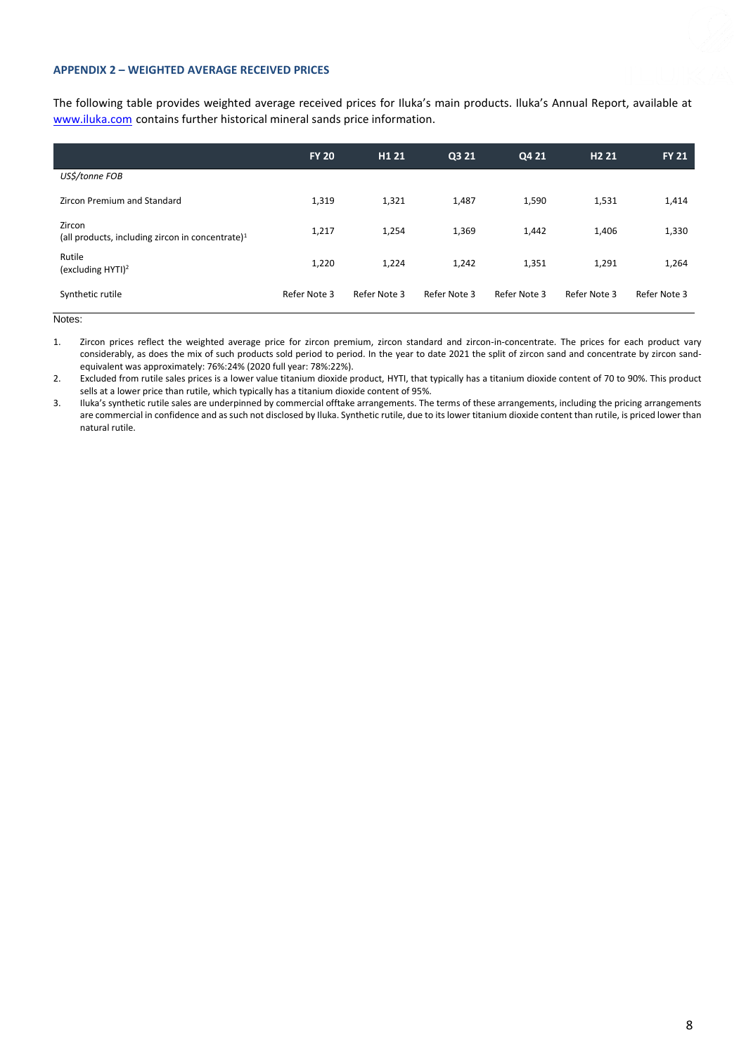### **APPENDIX 2 – WEIGHTED AVERAGE RECEIVED PRICES**

The following table provides weighted average received prices for Iluka's main products. Iluka's Annual Report, available at [www.iluka.com](http://www.iluka.com/) contains further historical mineral sands price information.

|                                                               | <b>FY 20</b> | H <sub>1</sub> 21 | Q3 21        | Q4 21        | H <sub>2</sub> 21 | <b>FY 21</b> |
|---------------------------------------------------------------|--------------|-------------------|--------------|--------------|-------------------|--------------|
| US\$/tonne FOB                                                |              |                   |              |              |                   |              |
| Zircon Premium and Standard                                   | 1,319        | 1,321             | 1,487        | 1,590        | 1,531             | 1,414        |
| Zircon<br>(all products, including zircon in concentrate) $1$ | 1,217        | 1,254             | 1,369        | 1,442        | 1,406             | 1,330        |
| Rutile<br>(excluding HYTI) <sup>2</sup>                       | 1,220        | 1,224             | 1,242        | 1,351        | 1,291             | 1,264        |
| Synthetic rutile                                              | Refer Note 3 | Refer Note 3      | Refer Note 3 | Refer Note 3 | Refer Note 3      | Refer Note 3 |

Notes:

1. Zircon prices reflect the weighted average price for zircon premium, zircon standard and zircon-in-concentrate. The prices for each product vary considerably, as does the mix of such products sold period to period. In the year to date 2021 the split of zircon sand and concentrate by zircon sandequivalent was approximately: 76%:24% (2020 full year: 78%:22%).

2. Excluded from rutile sales prices is a lower value titanium dioxide product, HYTI, that typically has a titanium dioxide content of 70 to 90%. This product sells at a lower price than rutile, which typically has a titanium dioxide content of 95%.

3. Iluka's synthetic rutile sales are underpinned by commercial offtake arrangements. The terms of these arrangements, including the pricing arrangements are commercial in confidence and as such not disclosed by Iluka. Synthetic rutile, due to its lower titanium dioxide content than rutile, is priced lower than natural rutile.